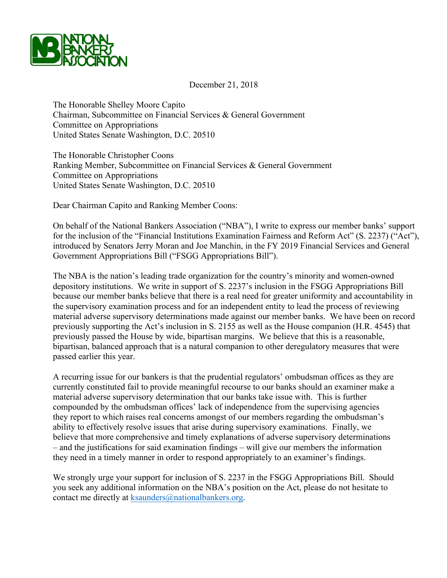

December 21, 2018

The Honorable Shelley Moore Capito Chairman, Subcommittee on Financial Services & General Government Committee on Appropriations United States Senate Washington, D.C. 20510

The Honorable Christopher Coons Ranking Member, Subcommittee on Financial Services & General Government Committee on Appropriations United States Senate Washington, D.C. 20510

Dear Chairman Capito and Ranking Member Coons:

On behalf of the National Bankers Association ("NBA"), I write to express our member banks' support for the inclusion of the "Financial Institutions Examination Fairness and Reform Act" (S. 2237) ("Act"), introduced by Senators Jerry Moran and Joe Manchin, in the FY 2019 Financial Services and General Government Appropriations Bill ("FSGG Appropriations Bill").

The NBA is the nation's leading trade organization for the country's minority and women-owned depository institutions. We write in support of S. 2237's inclusion in the FSGG Appropriations Bill because our member banks believe that there is a real need for greater uniformity and accountability in the supervisory examination process and for an independent entity to lead the process of reviewing material adverse supervisory determinations made against our member banks. We have been on record previously supporting the Act's inclusion in S. 2155 as well as the House companion (H.R. 4545) that previously passed the House by wide, bipartisan margins. We believe that this is a reasonable, bipartisan, balanced approach that is a natural companion to other deregulatory measures that were passed earlier this year.

A recurring issue for our bankers is that the prudential regulators' ombudsman offices as they are currently constituted fail to provide meaningful recourse to our banks should an examiner make a material adverse supervisory determination that our banks take issue with. This is further compounded by the ombudsman offices' lack of independence from the supervising agencies they report to which raises real concerns amongst of our members regarding the ombudsman's ability to effectively resolve issues that arise during supervisory examinations. Finally, we believe that more comprehensive and timely explanations of adverse supervisory determinations – and the justifications for said examination findings – will give our members the information they need in a timely manner in order to respond appropriately to an examiner's findings.

We strongly urge your support for inclusion of S. 2237 in the FSGG Appropriations Bill. Should you seek any additional information on the NBA's position on the Act, please do not hesitate to contact me directly at ksaunders@nationalbankers.org.